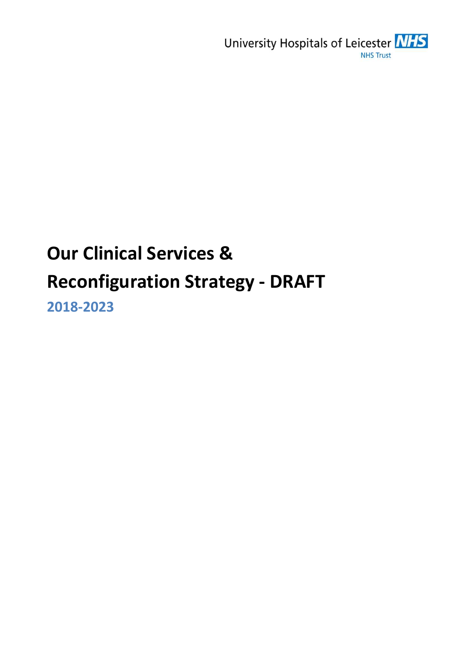University Hospitals of Leicester NHS **NHS Trust** 

# Our Clinical Services & Reconfiguration Strategy - DRAFT

2018-2023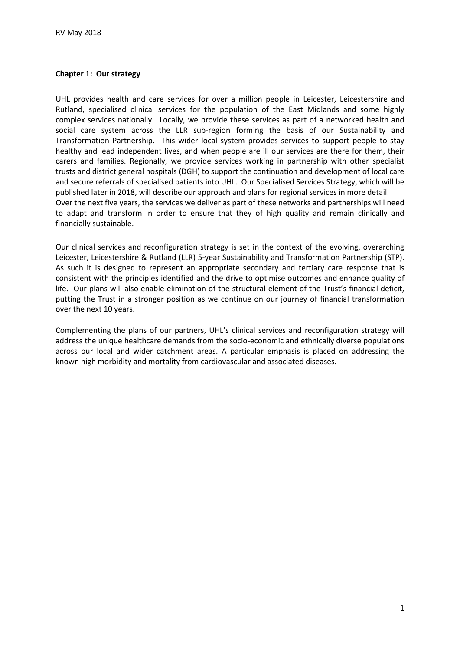#### Chapter 1: Our strategy

UHL provides health and care services for over a million people in Leicester, Leicestershire and Rutland, specialised clinical services for the population of the East Midlands and some highly complex services nationally. Locally, we provide these services as part of a networked health and social care system across the LLR sub-region forming the basis of our Sustainability and Transformation Partnership. This wider local system provides services to support people to stay healthy and lead independent lives, and when people are ill our services are there for them, their carers and families. Regionally, we provide services working in partnership with other specialist trusts and district general hospitals (DGH) to support the continuation and development of local care and secure referrals of specialised patients into UHL. Our Specialised Services Strategy, which will be published later in 2018, will describe our approach and plans for regional services in more detail. Over the next five years, the services we deliver as part of these networks and partnerships will need to adapt and transform in order to ensure that they of high quality and remain clinically and financially sustainable.

Our clinical services and reconfiguration strategy is set in the context of the evolving, overarching Leicester, Leicestershire & Rutland (LLR) 5-year Sustainability and Transformation Partnership (STP). As such it is designed to represent an appropriate secondary and tertiary care response that is consistent with the principles identified and the drive to optimise outcomes and enhance quality of life. Our plans will also enable elimination of the structural element of the Trust's financial deficit, putting the Trust in a stronger position as we continue on our journey of financial transformation over the next 10 years.

Complementing the plans of our partners, UHL's clinical services and reconfiguration strategy will address the unique healthcare demands from the socio-economic and ethnically diverse populations across our local and wider catchment areas. A particular emphasis is placed on addressing the known high morbidity and mortality from cardiovascular and associated diseases.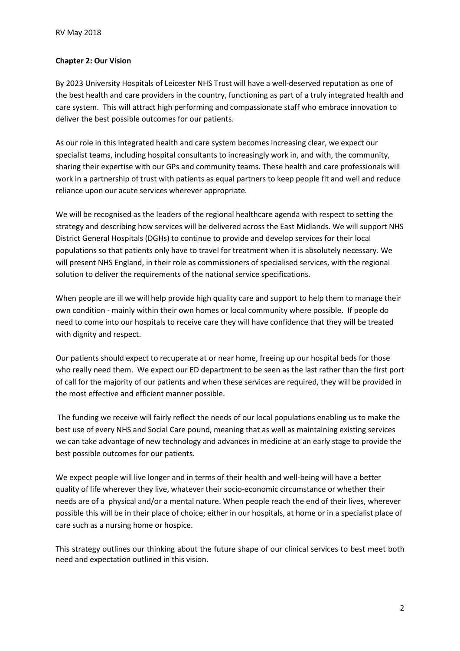### Chapter 2: Our Vision

By 2023 University Hospitals of Leicester NHS Trust will have a well-deserved reputation as one of the best health and care providers in the country, functioning as part of a truly integrated health and care system. This will attract high performing and compassionate staff who embrace innovation to deliver the best possible outcomes for our patients.

As our role in this integrated health and care system becomes increasing clear, we expect our specialist teams, including hospital consultants to increasingly work in, and with, the community, sharing their expertise with our GPs and community teams. These health and care professionals will work in a partnership of trust with patients as equal partners to keep people fit and well and reduce reliance upon our acute services wherever appropriate.

We will be recognised as the leaders of the regional healthcare agenda with respect to setting the strategy and describing how services will be delivered across the East Midlands. We will support NHS District General Hospitals (DGHs) to continue to provide and develop services for their local populations so that patients only have to travel for treatment when it is absolutely necessary. We will present NHS England, in their role as commissioners of specialised services, with the regional solution to deliver the requirements of the national service specifications.

When people are ill we will help provide high quality care and support to help them to manage their own condition - mainly within their own homes or local community where possible. If people do need to come into our hospitals to receive care they will have confidence that they will be treated with dignity and respect.

Our patients should expect to recuperate at or near home, freeing up our hospital beds for those who really need them. We expect our ED department to be seen as the last rather than the first port of call for the majority of our patients and when these services are required, they will be provided in the most effective and efficient manner possible.

 The funding we receive will fairly reflect the needs of our local populations enabling us to make the best use of every NHS and Social Care pound, meaning that as well as maintaining existing services we can take advantage of new technology and advances in medicine at an early stage to provide the best possible outcomes for our patients.

We expect people will live longer and in terms of their health and well-being will have a better quality of life wherever they live, whatever their socio-economic circumstance or whether their needs are of a physical and/or a mental nature. When people reach the end of their lives, wherever possible this will be in their place of choice; either in our hospitals, at home or in a specialist place of care such as a nursing home or hospice.

This strategy outlines our thinking about the future shape of our clinical services to best meet both need and expectation outlined in this vision.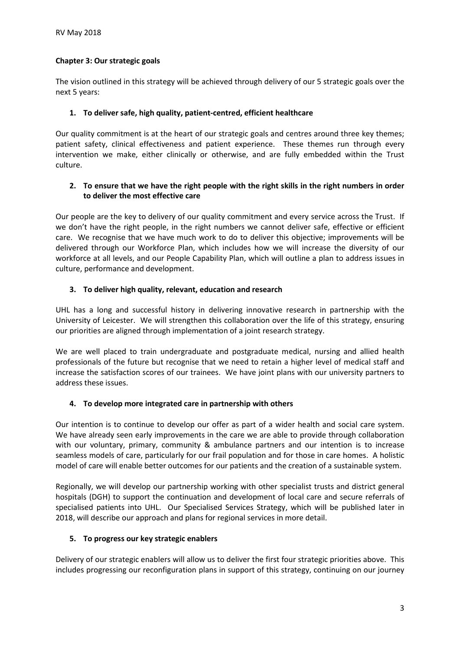# Chapter 3: Our strategic goals

The vision outlined in this strategy will be achieved through delivery of our 5 strategic goals over the next 5 years:

# 1. To deliver safe, high quality, patient-centred, efficient healthcare

Our quality commitment is at the heart of our strategic goals and centres around three key themes; patient safety, clinical effectiveness and patient experience. These themes run through every intervention we make, either clinically or otherwise, and are fully embedded within the Trust culture.

# 2. To ensure that we have the right people with the right skills in the right numbers in order to deliver the most effective care

Our people are the key to delivery of our quality commitment and every service across the Trust. If we don't have the right people, in the right numbers we cannot deliver safe, effective or efficient care. We recognise that we have much work to do to deliver this objective; improvements will be delivered through our Workforce Plan, which includes how we will increase the diversity of our workforce at all levels, and our People Capability Plan, which will outline a plan to address issues in culture, performance and development.

# 3. To deliver high quality, relevant, education and research

UHL has a long and successful history in delivering innovative research in partnership with the University of Leicester. We will strengthen this collaboration over the life of this strategy, ensuring our priorities are aligned through implementation of a joint research strategy.

We are well placed to train undergraduate and postgraduate medical, nursing and allied health professionals of the future but recognise that we need to retain a higher level of medical staff and increase the satisfaction scores of our trainees. We have joint plans with our university partners to address these issues.

# 4. To develop more integrated care in partnership with others

Our intention is to continue to develop our offer as part of a wider health and social care system. We have already seen early improvements in the care we are able to provide through collaboration with our voluntary, primary, community & ambulance partners and our intention is to increase seamless models of care, particularly for our frail population and for those in care homes. A holistic model of care will enable better outcomes for our patients and the creation of a sustainable system.

Regionally, we will develop our partnership working with other specialist trusts and district general hospitals (DGH) to support the continuation and development of local care and secure referrals of specialised patients into UHL. Our Specialised Services Strategy, which will be published later in 2018, will describe our approach and plans for regional services in more detail.

# 5. To progress our key strategic enablers

Delivery of our strategic enablers will allow us to deliver the first four strategic priorities above. This includes progressing our reconfiguration plans in support of this strategy, continuing on our journey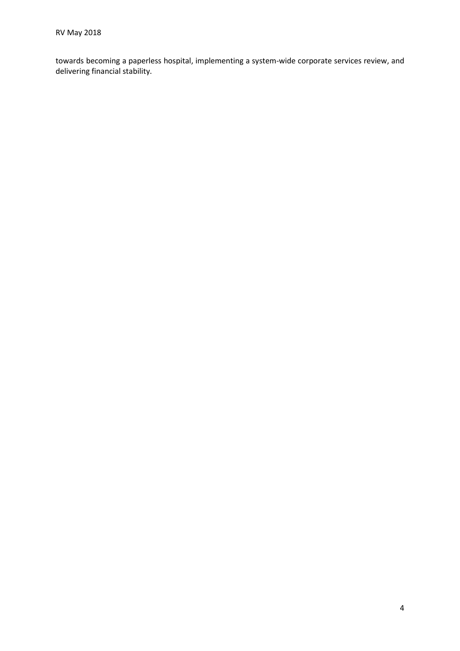towards becoming a paperless hospital, implementing a system-wide corporate services review, and delivering financial stability.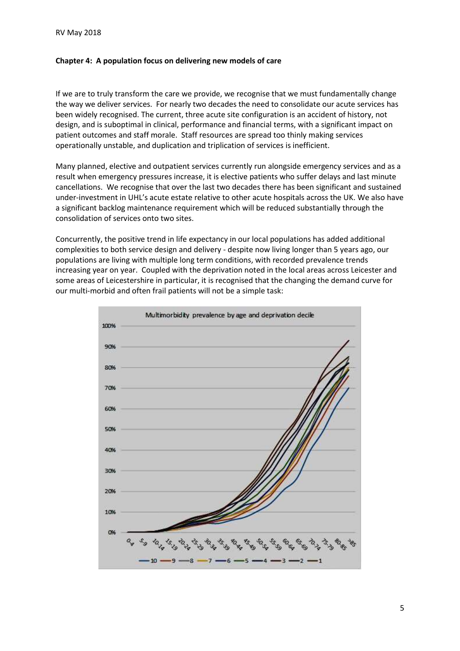#### Chapter 4: A population focus on delivering new models of care

If we are to truly transform the care we provide, we recognise that we must fundamentally change the way we deliver services. For nearly two decades the need to consolidate our acute services has been widely recognised. The current, three acute site configuration is an accident of history, not design, and is suboptimal in clinical, performance and financial terms, with a significant impact on patient outcomes and staff morale. Staff resources are spread too thinly making services operationally unstable, and duplication and triplication of services is inefficient.

Many planned, elective and outpatient services currently run alongside emergency services and as a result when emergency pressures increase, it is elective patients who suffer delays and last minute cancellations. We recognise that over the last two decades there has been significant and sustained under-investment in UHL's acute estate relative to other acute hospitals across the UK. We also have a significant backlog maintenance requirement which will be reduced substantially through the consolidation of services onto two sites.

Concurrently, the positive trend in life expectancy in our local populations has added additional complexities to both service design and delivery - despite now living longer than 5 years ago, our populations are living with multiple long term conditions, with recorded prevalence trends increasing year on year. Coupled with the deprivation noted in the local areas across Leicester and some areas of Leicestershire in particular, it is recognised that the changing the demand curve for our multi-morbid and often frail patients will not be a simple task:

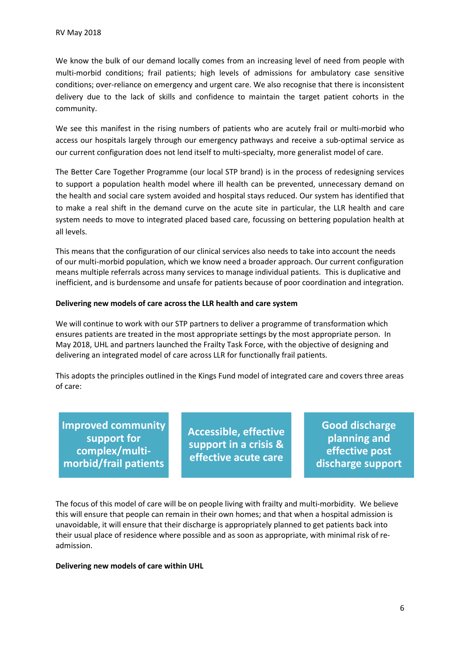We know the bulk of our demand locally comes from an increasing level of need from people with multi-morbid conditions; frail patients; high levels of admissions for ambulatory case sensitive conditions; over-reliance on emergency and urgent care. We also recognise that there is inconsistent delivery due to the lack of skills and confidence to maintain the target patient cohorts in the community.

We see this manifest in the rising numbers of patients who are acutely frail or multi-morbid who access our hospitals largely through our emergency pathways and receive a sub-optimal service as our current configuration does not lend itself to multi-specialty, more generalist model of care.

The Better Care Together Programme (our local STP brand) is in the process of redesigning services to support a population health model where ill health can be prevented, unnecessary demand on the health and social care system avoided and hospital stays reduced. Our system has identified that to make a real shift in the demand curve on the acute site in particular, the LLR health and care system needs to move to integrated placed based care, focussing on bettering population health at all levels.

This means that the configuration of our clinical services also needs to take into account the needs of our multi-morbid population, which we know need a broader approach. Our current configuration means multiple referrals across many services to manage individual patients. This is duplicative and inefficient, and is burdensome and unsafe for patients because of poor coordination and integration. ns that the configuration of our clinical services also needs to take into account the nulti-morbid population, which we know need a broader approach. Our current configuration and intellible referrals across many services

#### Delivering new models of care across the LLR health and care system

We will continue to work with our STP partners to deliver a programme of transformation which ensures patients are treated in the most appropriate settings by the most appropriate person. In May 2018, UHL and partners launched the Frailty Task Force, with the objective of designing and delivering an integrated model of care across LLR for functionally frail patients. Experiment and is burdensome and unsafe for patients because of poor coordinations. This is duplicatificient, and is burdensome and unsafe for patients because of poor coordination and intellivering new models of care acro In crimical services also needs to take into accolout the needs<br>
we know need a broader approach. Our current configuration<br>
services to manage individual patients. This is duplicative and<br>
rate for patients because of poo

This adopts the principles outlined in the Kings Fund model of integrated care and covers three areas of care:

Improved community complex/multi-

Accessible, effective effective acute care

Good discharge planning and effective post discharge support

The focus of this model of care will be on people living with frailty and multi-morbidity. We believe this will ensure that people can remain in their own homes; and that when a hospital admission is unavoidable, it will ensure that their discharge is appropriately planned to get patients back into their usual place of residence where possible and as soon as appropriate, with minimal risk of readmission.

#### Delivering new models of care within UHL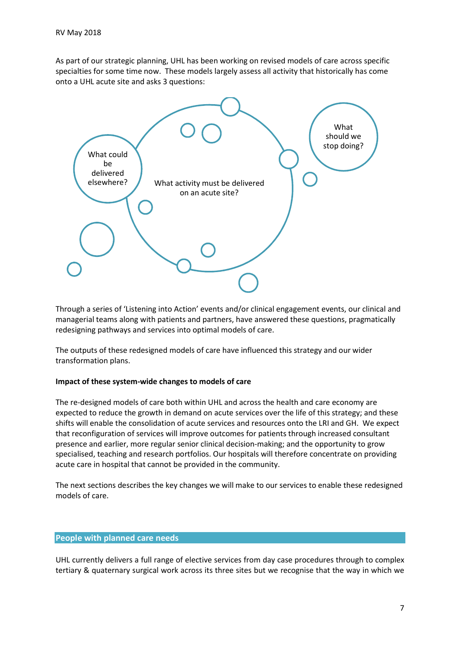As part of our strategic planning, UHL has been working on revised models of care across specific specialties for some time now. These models largely assess all activity that historically has come onto a UHL acute site and asks 3 questions:



Through a series of 'Listening into Action' events and/or clinical engagement events, our clinical and managerial teams along with patients and partners, have answered these questions, pragmatically redesigning pathways and services into optimal models of care.

The outputs of these redesigned models of care have influenced this strategy and our wider transformation plans.

#### Impact of these system-wide changes to models of care

The re-designed models of care both within UHL and across the health and care economy are expected to reduce the growth in demand on acute services over the life of this strategy; and these shifts will enable the consolidation of acute services and resources onto the LRI and GH. We expect that reconfiguration of services will improve outcomes for patients through increased consultant presence and earlier, more regular senior clinical decision-making; and the opportunity to grow specialised, teaching and research portfolios. Our hospitals will therefore concentrate on providing acute care in hospital that cannot be provided in the community.

The next sections describes the key changes we will make to our services to enable these redesigned models of care.

#### People with planned care needs

UHL currently delivers a full range of elective services from day case procedures through to complex tertiary & quaternary surgical work across its three sites but we recognise that the way in which we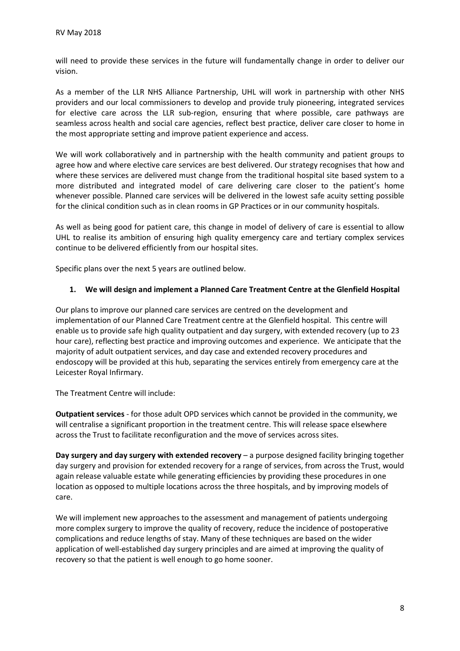will need to provide these services in the future will fundamentally change in order to deliver our vision.

As a member of the LLR NHS Alliance Partnership, UHL will work in partnership with other NHS providers and our local commissioners to develop and provide truly pioneering, integrated services for elective care across the LLR sub-region, ensuring that where possible, care pathways are seamless across health and social care agencies, reflect best practice, deliver care closer to home in the most appropriate setting and improve patient experience and access.

We will work collaboratively and in partnership with the health community and patient groups to agree how and where elective care services are best delivered. Our strategy recognises that how and where these services are delivered must change from the traditional hospital site based system to a more distributed and integrated model of care delivering care closer to the patient's home whenever possible. Planned care services will be delivered in the lowest safe acuity setting possible for the clinical condition such as in clean rooms in GP Practices or in our community hospitals.

As well as being good for patient care, this change in model of delivery of care is essential to allow UHL to realise its ambition of ensuring high quality emergency care and tertiary complex services continue to be delivered efficiently from our hospital sites.

Specific plans over the next 5 years are outlined below.

### 1. We will design and implement a Planned Care Treatment Centre at the Glenfield Hospital

Our plans to improve our planned care services are centred on the development and implementation of our Planned Care Treatment centre at the Glenfield hospital. This centre will enable us to provide safe high quality outpatient and day surgery, with extended recovery (up to 23 hour care), reflecting best practice and improving outcomes and experience. We anticipate that the majority of adult outpatient services, and day case and extended recovery procedures and endoscopy will be provided at this hub, separating the services entirely from emergency care at the Leicester Royal Infirmary.

The Treatment Centre will include:

Outpatient services - for those adult OPD services which cannot be provided in the community, we will centralise a significant proportion in the treatment centre. This will release space elsewhere across the Trust to facilitate reconfiguration and the move of services across sites.

Day surgery and day surgery with extended recovery – a purpose designed facility bringing together day surgery and provision for extended recovery for a range of services, from across the Trust, would again release valuable estate while generating efficiencies by providing these procedures in one location as opposed to multiple locations across the three hospitals, and by improving models of care.

We will implement new approaches to the assessment and management of patients undergoing more complex surgery to improve the quality of recovery, reduce the incidence of postoperative complications and reduce lengths of stay. Many of these techniques are based on the wider application of well-established day surgery principles and are aimed at improving the quality of recovery so that the patient is well enough to go home sooner.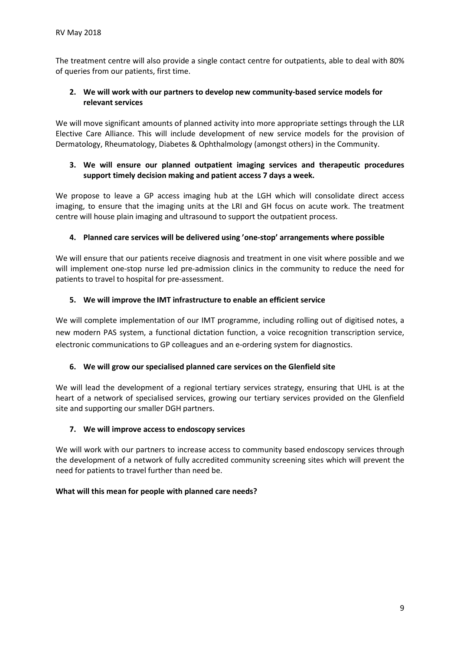The treatment centre will also provide a single contact centre for outpatients, able to deal with 80% of queries from our patients, first time.

# 2. We will work with our partners to develop new community-based service models for relevant services

We will move significant amounts of planned activity into more appropriate settings through the LLR Elective Care Alliance. This will include development of new service models for the provision of Dermatology, Rheumatology, Diabetes & Ophthalmology (amongst others) in the Community.

# 3. We will ensure our planned outpatient imaging services and therapeutic procedures support timely decision making and patient access 7 days a week.

We propose to leave a GP access imaging hub at the LGH which will consolidate direct access imaging, to ensure that the imaging units at the LRI and GH focus on acute work. The treatment centre will house plain imaging and ultrasound to support the outpatient process.

# 4. Planned care services will be delivered using 'one-stop' arrangements where possible

We will ensure that our patients receive diagnosis and treatment in one visit where possible and we will implement one-stop nurse led pre-admission clinics in the community to reduce the need for patients to travel to hospital for pre-assessment.

# 5. We will improve the IMT infrastructure to enable an efficient service

We will complete implementation of our IMT programme, including rolling out of digitised notes, a new modern PAS system, a functional dictation function, a voice recognition transcription service, electronic communications to GP colleagues and an e-ordering system for diagnostics.

# 6. We will grow our specialised planned care services on the Glenfield site

We will lead the development of a regional tertiary services strategy, ensuring that UHL is at the heart of a network of specialised services, growing our tertiary services provided on the Glenfield site and supporting our smaller DGH partners.

# 7. We will improve access to endoscopy services

We will work with our partners to increase access to community based endoscopy services through the development of a network of fully accredited community screening sites which will prevent the need for patients to travel further than need be.

# What will this mean for people with planned care needs?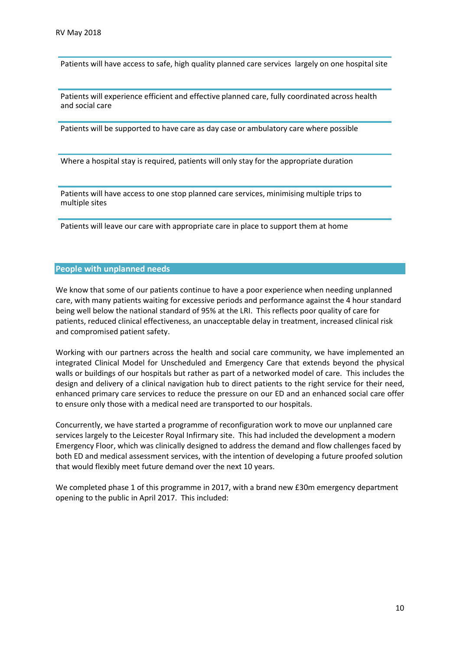Patients will have access to safe, high quality planned care services largely on one hospital site

Patients will experience efficient and effective planned care, fully coordinated across health and social care

Patients will be supported to have care as day case or ambulatory care where possible

Where a hospital stay is required, patients will only stay for the appropriate duration

Patients will have access to one stop planned care services, minimising multiple trips to multiple sites

Patients will leave our care with appropriate care in place to support them at home

#### People with unplanned needs

We know that some of our patients continue to have a poor experience when needing unplanned care, with many patients waiting for excessive periods and performance against the 4 hour standard being well below the national standard of 95% at the LRI. This reflects poor quality of care for patients, reduced clinical effectiveness, an unacceptable delay in treatment, increased clinical risk and compromised patient safety.

Working with our partners across the health and social care community, we have implemented an integrated Clinical Model for Unscheduled and Emergency Care that extends beyond the physical walls or buildings of our hospitals but rather as part of a networked model of care. This includes the design and delivery of a clinical navigation hub to direct patients to the right service for their need, enhanced primary care services to reduce the pressure on our ED and an enhanced social care offer to ensure only those with a medical need are transported to our hospitals.

Concurrently, we have started a programme of reconfiguration work to move our unplanned care services largely to the Leicester Royal Infirmary site. This had included the development a modern Emergency Floor, which was clinically designed to address the demand and flow challenges faced by both ED and medical assessment services, with the intention of developing a future proofed solution that would flexibly meet future demand over the next 10 years.

We completed phase 1 of this programme in 2017, with a brand new £30m emergency department opening to the public in April 2017. This included: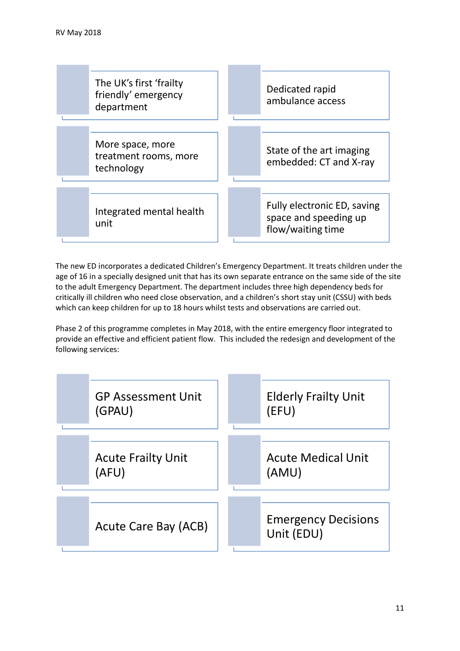

The new ED incorporates a dedicated Children's Emergency Department. It treats children under the age of 16 in a specially designed unit that has its own separate entrance on the same side of the site to the adult Emergency Department. The department includes three high dependency beds for critically ill children who need close observation, and a children's short stay unit (CSSU) with beds which can keep children for up to 18 hours whilst tests and observations are carried out.

Phase 2 of this programme completes in May 2018, with the entire emergency floor integrated to provide an effective and efficient patient flow. This included the redesign and development of the following services:

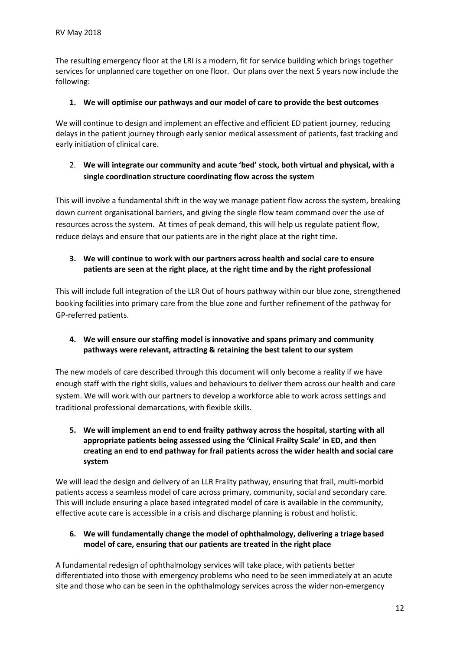The resulting emergency floor at the LRI is a modern, fit for service building which brings together services for unplanned care together on one floor. Our plans over the next 5 years now include the following:

# 1. We will optimise our pathways and our model of care to provide the best outcomes

We will continue to design and implement an effective and efficient ED patient journey, reducing delays in the patient journey through early senior medical assessment of patients, fast tracking and early initiation of clinical care.

# 2. We will integrate our community and acute 'bed' stock, both virtual and physical, with a single coordination structure coordinating flow across the system

This will involve a fundamental shift in the way we manage patient flow across the system, breaking down current organisational barriers, and giving the single flow team command over the use of resources across the system. At times of peak demand, this will help us regulate patient flow, reduce delays and ensure that our patients are in the right place at the right time.

# 3. We will continue to work with our partners across health and social care to ensure patients are seen at the right place, at the right time and by the right professional

This will include full integration of the LLR Out of hours pathway within our blue zone, strengthened booking facilities into primary care from the blue zone and further refinement of the pathway for GP-referred patients.

4. We will ensure our staffing model is innovative and spans primary and community pathways were relevant, attracting & retaining the best talent to our system

The new models of care described through this document will only become a reality if we have enough staff with the right skills, values and behaviours to deliver them across our health and care system. We will work with our partners to develop a workforce able to work across settings and traditional professional demarcations, with flexible skills.

5. We will implement an end to end frailty pathway across the hospital, starting with all appropriate patients being assessed using the 'Clinical Frailty Scale' in ED, and then creating an end to end pathway for frail patients across the wider health and social care system

We will lead the design and delivery of an LLR Frailty pathway, ensuring that frail, multi-morbid patients access a seamless model of care across primary, community, social and secondary care. This will include ensuring a place based integrated model of care is available in the community, effective acute care is accessible in a crisis and discharge planning is robust and holistic.

6. We will fundamentally change the model of ophthalmology, delivering a triage based model of care, ensuring that our patients are treated in the right place

A fundamental redesign of ophthalmology services will take place, with patients better differentiated into those with emergency problems who need to be seen immediately at an acute site and those who can be seen in the ophthalmology services across the wider non-emergency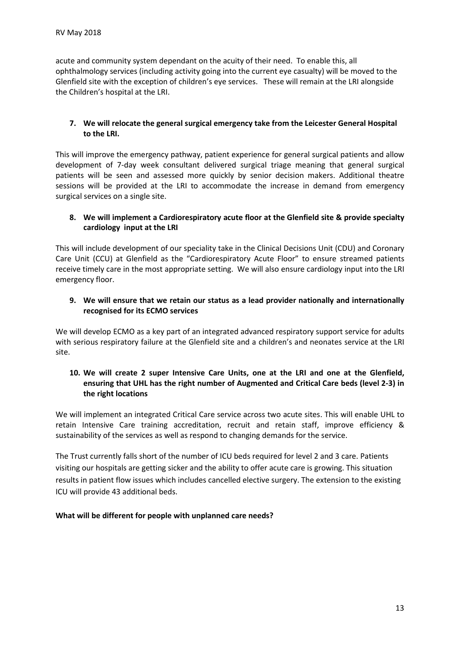acute and community system dependant on the acuity of their need. To enable this, all ophthalmology services (including activity going into the current eye casualty) will be moved to the Glenfield site with the exception of children's eye services. These will remain at the LRI alongside the Children's hospital at the LRI.

# 7. We will relocate the general surgical emergency take from the Leicester General Hospital to the LRI.

This will improve the emergency pathway, patient experience for general surgical patients and allow development of 7-day week consultant delivered surgical triage meaning that general surgical patients will be seen and assessed more quickly by senior decision makers. Additional theatre sessions will be provided at the LRI to accommodate the increase in demand from emergency surgical services on a single site.

# 8. We will implement a Cardiorespiratory acute floor at the Glenfield site & provide specialty cardiology input at the LRI

This will include development of our speciality take in the Clinical Decisions Unit (CDU) and Coronary Care Unit (CCU) at Glenfield as the "Cardiorespiratory Acute Floor" to ensure streamed patients receive timely care in the most appropriate setting. We will also ensure cardiology input into the LRI emergency floor.

### 9. We will ensure that we retain our status as a lead provider nationally and internationally recognised for its ECMO services

We will develop ECMO as a key part of an integrated advanced respiratory support service for adults with serious respiratory failure at the Glenfield site and a children's and neonates service at the LRI site.

# 10. We will create 2 super Intensive Care Units, one at the LRI and one at the Glenfield, ensuring that UHL has the right number of Augmented and Critical Care beds (level 2-3) in the right locations

We will implement an integrated Critical Care service across two acute sites. This will enable UHL to retain Intensive Care training accreditation, recruit and retain staff, improve efficiency & sustainability of the services as well as respond to changing demands for the service.

The Trust currently falls short of the number of ICU beds required for level 2 and 3 care. Patients visiting our hospitals are getting sicker and the ability to offer acute care is growing. This situation results in patient flow issues which includes cancelled elective surgery. The extension to the existing ICU will provide 43 additional beds.

# What will be different for people with unplanned care needs?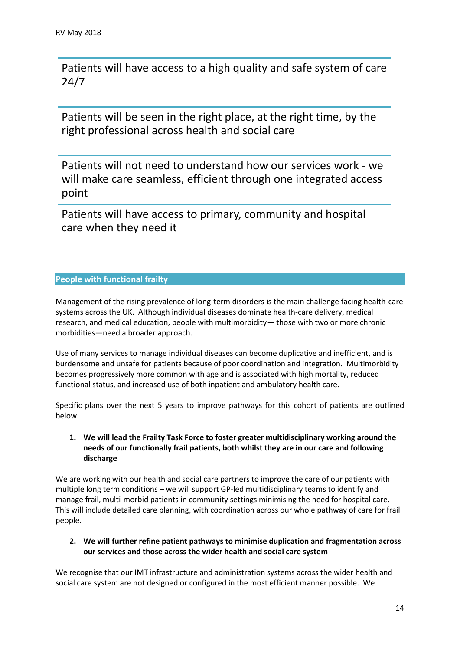Patients will have access to a high quality and safe system of care 24/7

Patients will be seen in the right place, at the right time, by the right professional across health and social care

May 2018<br>Patients will have access to a high quality and safe system of care<br>24/7<br>Patients will be seen in the right place, at the right time, by the<br>right professional across health and social care<br>Patients will not need will make care seamless, efficient through one integrated access point

Patients will have access to primary, community and hospital care when they need it

# People with functional frailty

Management of the rising prevalence of long-term disorders is the main challenge facing health-care systems across the UK. Although individual diseases dominate health-care delivery, medical research, and medical education, people with multimorbidity— those with two or more chronic morbidities—need a broader approach.

Use of many services to manage individual diseases can become duplicative and inefficient, and is burdensome and unsafe for patients because of poor coordination and integration. Multimorbidity becomes progressively more common with age and is associated with high mortality, reduced functional status, and increased use of both inpatient and ambulatory health care.

Specific plans over the next 5 years to improve pathways for this cohort of patients are outlined below.

# 1. We will lead the Frailty Task Force to foster greater multidisciplinary working around the needs of our functionally frail patients, both whilst they are in our care and following discharge

We are working with our health and social care partners to improve the care of our patients with multiple long term conditions – we will support GP-led multidisciplinary teams to identify and manage frail, multi-morbid patients in community settings minimising the need for hospital care. This will include detailed care planning, with coordination across our whole pathway of care for frail people.

# 2. We will further refine patient pathways to minimise duplication and fragmentation across our services and those across the wider health and social care system

We recognise that our IMT infrastructure and administration systems across the wider health and social care system are not designed or configured in the most efficient manner possible. We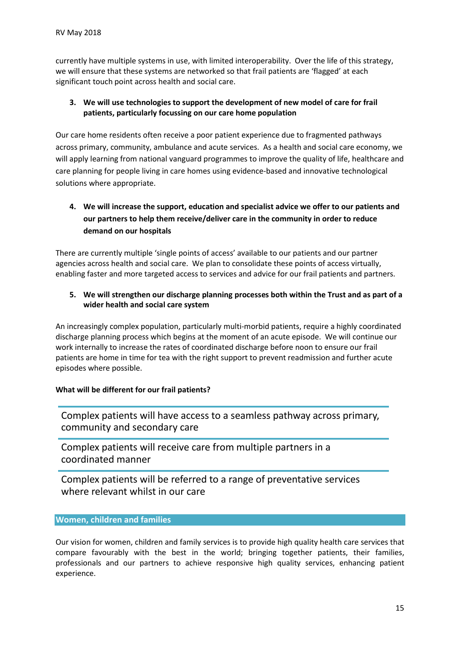currently have multiple systems in use, with limited interoperability. Over the life of this strategy, we will ensure that these systems are networked so that frail patients are 'flagged' at each significant touch point across health and social care.

# 3. We will use technologies to support the development of new model of care for frail patients, particularly focussing on our care home population

Our care home residents often receive a poor patient experience due to fragmented pathways across primary, community, ambulance and acute services. As a health and social care economy, we will apply learning from national vanguard programmes to improve the quality of life, healthcare and care planning for people living in care homes using evidence-based and innovative technological solutions where appropriate.

# 4. We will increase the support, education and specialist advice we offer to our patients and our partners to help them receive/deliver care in the community in order to reduce demand on our hospitals

There are currently multiple 'single points of access' available to our patients and our partner agencies across health and social care. We plan to consolidate these points of access virtually, enabling faster and more targeted access to services and advice for our frail patients and partners.

# 5. We will strengthen our discharge planning processes both within the Trust and as part of a wider health and social care system

An increasingly complex population, particularly multi-morbid patients, require a highly coordinated discharge planning process which begins at the moment of an acute episode. We will continue our work internally to increase the rates of coordinated discharge before noon to ensure our frail patients are home in time for tea with the right support to prevent readmission and further acute episodes where possible.

# What will be different for our frail patients?

Complex patients will have access to a seamless pathway across primary, community and secondary care

Complex patients will receive care from multiple partners in a coordinated manner

Complex patients will be referred to a range of preventative services where relevant whilst in our care

# Women, children and families

Our vision for women, children and family services is to provide high quality health care services that compare favourably with the best in the world; bringing together patients, their families, professionals and our partners to achieve responsive high quality services, enhancing patient experience.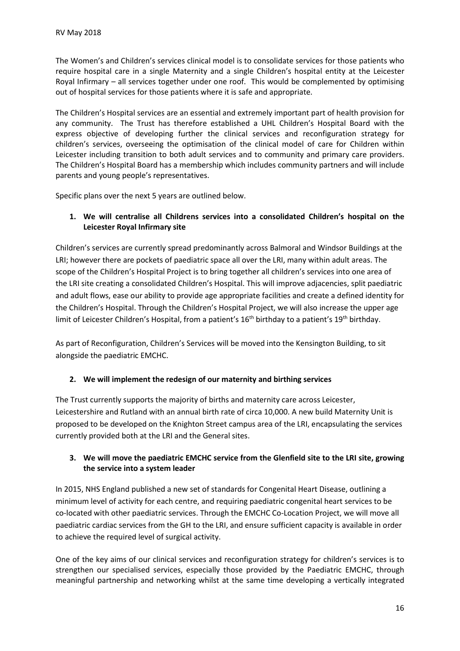The Women's and Children's services clinical model is to consolidate services for those patients who require hospital care in a single Maternity and a single Children's hospital entity at the Leicester Royal Infirmary – all services together under one roof. This would be complemented by optimising out of hospital services for those patients where it is safe and appropriate.

The Children's Hospital services are an essential and extremely important part of health provision for any community. The Trust has therefore established a UHL Children's Hospital Board with the express objective of developing further the clinical services and reconfiguration strategy for children's services, overseeing the optimisation of the clinical model of care for Children within Leicester including transition to both adult services and to community and primary care providers. The Children's Hospital Board has a membership which includes community partners and will include parents and young people's representatives.

Specific plans over the next 5 years are outlined below.

# 1. We will centralise all Childrens services into a consolidated Children's hospital on the Leicester Royal Infirmary site

Children's services are currently spread predominantly across Balmoral and Windsor Buildings at the LRI; however there are pockets of paediatric space all over the LRI, many within adult areas. The scope of the Children's Hospital Project is to bring together all children's services into one area of the LRI site creating a consolidated Children's Hospital. This will improve adjacencies, split paediatric and adult flows, ease our ability to provide age appropriate facilities and create a defined identity for the Children's Hospital. Through the Children's Hospital Project, we will also increase the upper age limit of Leicester Children's Hospital, from a patient's 16<sup>th</sup> birthday to a patient's 19<sup>th</sup> birthday.

As part of Reconfiguration, Children's Services will be moved into the Kensington Building, to sit alongside the paediatric EMCHC.

# 2. We will implement the redesign of our maternity and birthing services

The Trust currently supports the majority of births and maternity care across Leicester, Leicestershire and Rutland with an annual birth rate of circa 10,000. A new build Maternity Unit is proposed to be developed on the Knighton Street campus area of the LRI, encapsulating the services currently provided both at the LRI and the General sites.

# 3. We will move the paediatric EMCHC service from the Glenfield site to the LRI site, growing the service into a system leader

In 2015, NHS England published a new set of standards for Congenital Heart Disease, outlining a minimum level of activity for each centre, and requiring paediatric congenital heart services to be co-located with other paediatric services. Through the EMCHC Co-Location Project, we will move all paediatric cardiac services from the GH to the LRI, and ensure sufficient capacity is available in order to achieve the required level of surgical activity.

One of the key aims of our clinical services and reconfiguration strategy for children's services is to strengthen our specialised services, especially those provided by the Paediatric EMCHC, through meaningful partnership and networking whilst at the same time developing a vertically integrated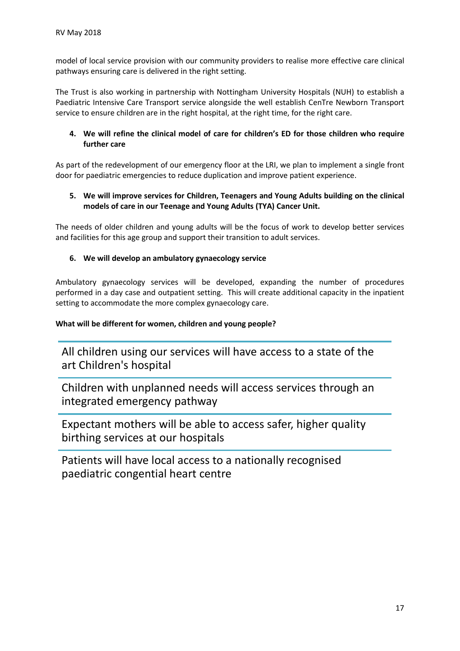model of local service provision with our community providers to realise more effective care clinical pathways ensuring care is delivered in the right setting.

The Trust is also working in partnership with Nottingham University Hospitals (NUH) to establish a Paediatric Intensive Care Transport service alongside the well establish CenTre Newborn Transport service to ensure children are in the right hospital, at the right time, for the right care.

# 4. We will refine the clinical model of care for children's ED for those children who require further care

As part of the redevelopment of our emergency floor at the LRI, we plan to implement a single front door for paediatric emergencies to reduce duplication and improve patient experience.

# 5. We will improve services for Children, Teenagers and Young Adults building on the clinical models of care in our Teenage and Young Adults (TYA) Cancer Unit.

The needs of older children and young adults will be the focus of work to develop better services and facilities for this age group and support their transition to adult services.

# 6. We will develop an ambulatory gynaecology service

Ambulatory gynaecology services will be developed, expanding the number of procedures performed in a day case and outpatient setting. This will create additional capacity in the inpatient setting to accommodate the more complex gynaecology care.

# What will be different for women, children and young people?

All children using our services will have access to a state of the art Children's hospital

Children with unplanned needs will access services through an integrated emergency pathway

Expectant mothers will be able to access safer, higher quality birthing services at our hospitals

Patients will have local access to a nationally recognised paediatric congential heart centre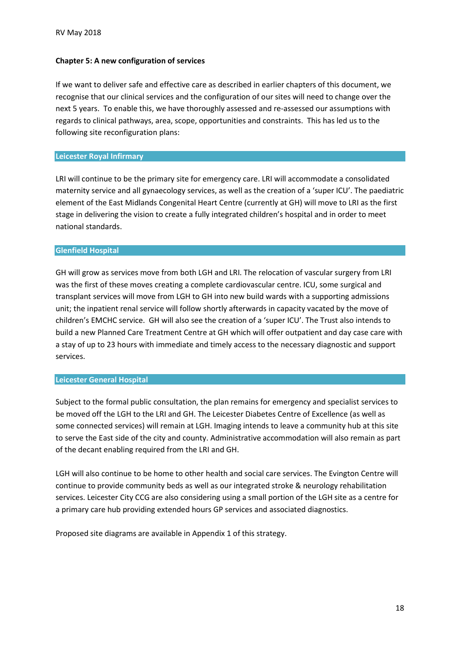#### Chapter 5: A new configuration of services

If we want to deliver safe and effective care as described in earlier chapters of this document, we recognise that our clinical services and the configuration of our sites will need to change over the next 5 years. To enable this, we have thoroughly assessed and re-assessed our assumptions with regards to clinical pathways, area, scope, opportunities and constraints. This has led us to the following site reconfiguration plans:

#### Leicester Royal Infirmary

LRI will continue to be the primary site for emergency care. LRI will accommodate a consolidated maternity service and all gynaecology services, as well as the creation of a 'super ICU'. The paediatric element of the East Midlands Congenital Heart Centre (currently at GH) will move to LRI as the first stage in delivering the vision to create a fully integrated children's hospital and in order to meet national standards.

#### Glenfield Hospital

GH will grow as services move from both LGH and LRI. The relocation of vascular surgery from LRI was the first of these moves creating a complete cardiovascular centre. ICU, some surgical and transplant services will move from LGH to GH into new build wards with a supporting admissions unit; the inpatient renal service will follow shortly afterwards in capacity vacated by the move of children's EMCHC service. GH will also see the creation of a 'super ICU'. The Trust also intends to build a new Planned Care Treatment Centre at GH which will offer outpatient and day case care with a stay of up to 23 hours with immediate and timely access to the necessary diagnostic and support services.

#### Leicester General Hospital

Subject to the formal public consultation, the plan remains for emergency and specialist services to be moved off the LGH to the LRI and GH. The Leicester Diabetes Centre of Excellence (as well as some connected services) will remain at LGH. Imaging intends to leave a community hub at this site to serve the East side of the city and county. Administrative accommodation will also remain as part of the decant enabling required from the LRI and GH.

LGH will also continue to be home to other health and social care services. The Evington Centre will continue to provide community beds as well as our integrated stroke & neurology rehabilitation services. Leicester City CCG are also considering using a small portion of the LGH site as a centre for a primary care hub providing extended hours GP services and associated diagnostics.

Proposed site diagrams are available in Appendix 1 of this strategy.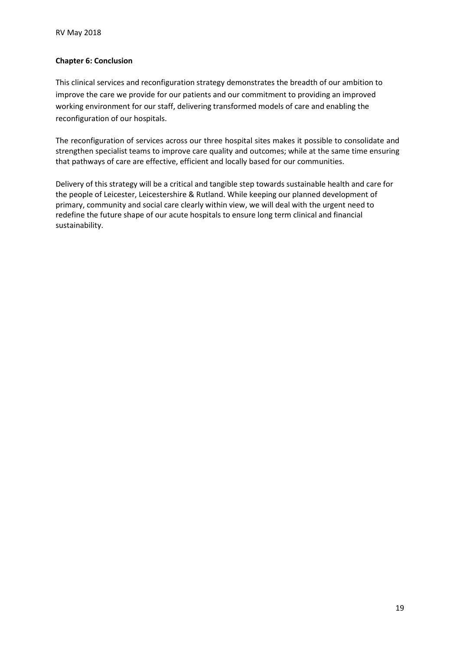## Chapter 6: Conclusion

This clinical services and reconfiguration strategy demonstrates the breadth of our ambition to improve the care we provide for our patients and our commitment to providing an improved working environment for our staff, delivering transformed models of care and enabling the reconfiguration of our hospitals.

The reconfiguration of services across our three hospital sites makes it possible to consolidate and strengthen specialist teams to improve care quality and outcomes; while at the same time ensuring that pathways of care are effective, efficient and locally based for our communities.

Delivery of this strategy will be a critical and tangible step towards sustainable health and care for the people of Leicester, Leicestershire & Rutland. While keeping our planned development of primary, community and social care clearly within view, we will deal with the urgent need to redefine the future shape of our acute hospitals to ensure long term clinical and financial sustainability.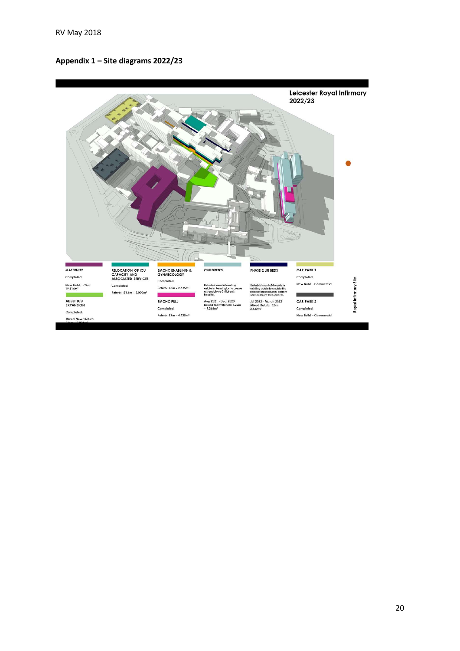### Appendix 1 – Site diagrams 2022/23

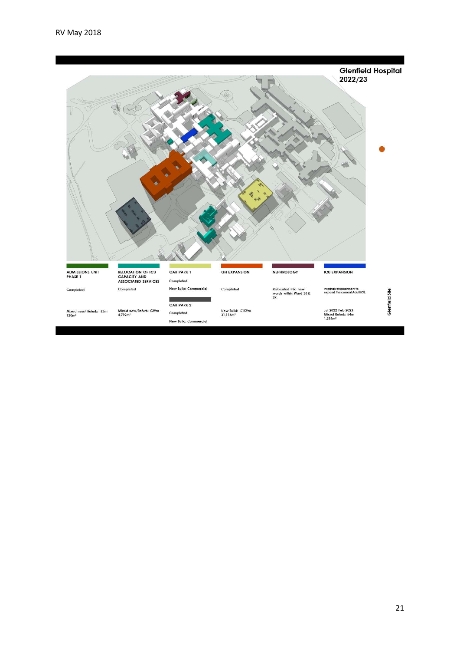